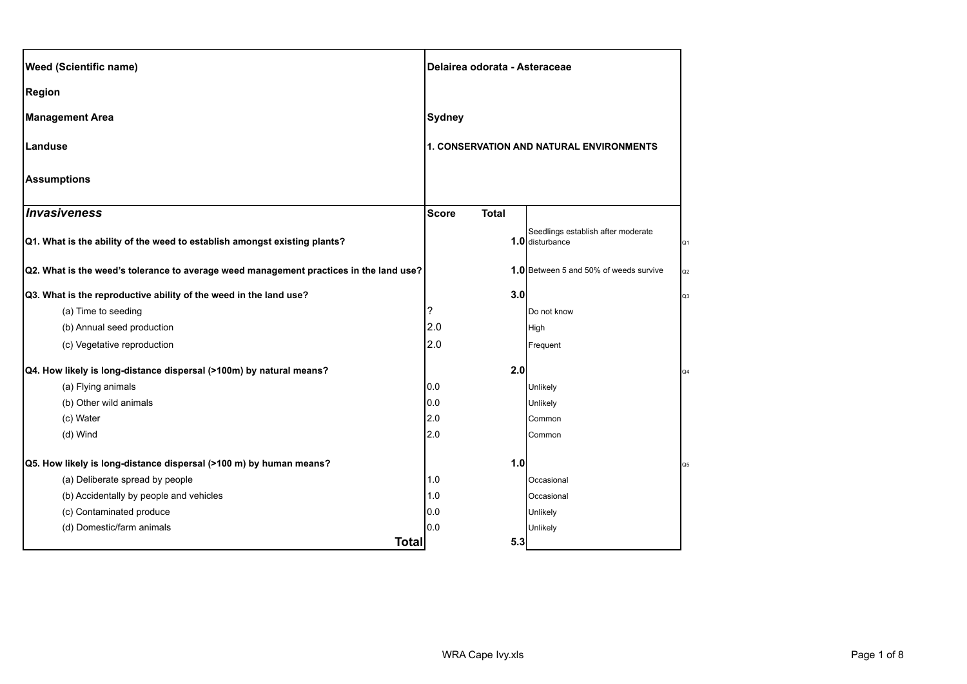| <b>Weed (Scientific name)</b>                                                          |               | Delairea odorata - Asteraceae |                                                       |    |
|----------------------------------------------------------------------------------------|---------------|-------------------------------|-------------------------------------------------------|----|
| <b>Region</b>                                                                          |               |                               |                                                       |    |
| <b>Management Area</b>                                                                 | <b>Sydney</b> |                               |                                                       |    |
| Landuse                                                                                |               |                               | 1. CONSERVATION AND NATURAL ENVIRONMENTS              |    |
| <b>Assumptions</b>                                                                     |               |                               |                                                       |    |
| Invasiveness                                                                           | <b>Score</b>  | <b>Total</b>                  |                                                       |    |
| Q1. What is the ability of the weed to establish amongst existing plants?              |               |                               | Seedlings establish after moderate<br>1.0 disturbance | Q1 |
| Q2. What is the weed's tolerance to average weed management practices in the land use? |               |                               | <b>1.0</b> Between 5 and 50% of weeds survive         | Q2 |
| Q3. What is the reproductive ability of the weed in the land use?                      |               | 3.0                           |                                                       | Q3 |
| (a) Time to seeding                                                                    | ?             |                               | Do not know                                           |    |
| (b) Annual seed production                                                             | 2.0           |                               | High                                                  |    |
| (c) Vegetative reproduction                                                            | 2.0           |                               | Frequent                                              |    |
| Q4. How likely is long-distance dispersal (>100m) by natural means?                    |               | 2.0                           |                                                       | Q4 |
| (a) Flying animals                                                                     | 0.0           |                               | Unlikely                                              |    |
| (b) Other wild animals                                                                 | 0.0           |                               | Unlikely                                              |    |
| (c) Water                                                                              | 2.0           |                               | Common                                                |    |
| (d) Wind                                                                               | 2.0           |                               | Common                                                |    |
| Q5. How likely is long-distance dispersal (>100 m) by human means?                     |               | 1.0                           |                                                       | Q5 |
| (a) Deliberate spread by people                                                        | 1.0           |                               | Occasional                                            |    |
| (b) Accidentally by people and vehicles                                                | 1.0           |                               | Occasional                                            |    |
| (c) Contaminated produce                                                               | 0.0           |                               | Unlikely                                              |    |
| (d) Domestic/farm animals                                                              | 0.0           |                               | Unlikely                                              |    |
|                                                                                        | <b>Total</b>  | 5.3                           |                                                       |    |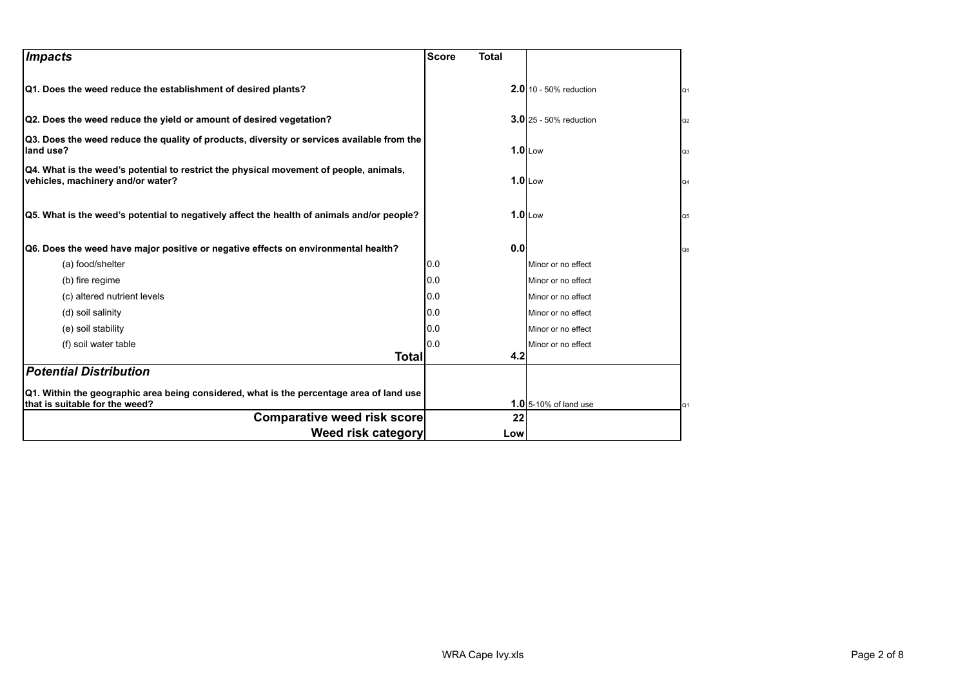| Impacts                                                                                                                     | <b>Score</b><br><b>Total</b> |                               |                |
|-----------------------------------------------------------------------------------------------------------------------------|------------------------------|-------------------------------|----------------|
| Q1. Does the weed reduce the establishment of desired plants?                                                               |                              | <b>2.0</b> 10 - 50% reduction | Q <sub>1</sub> |
| Q2. Does the weed reduce the yield or amount of desired vegetation?                                                         |                              | <b>3.0</b> 25 - 50% reduction | Q2             |
| Q3. Does the weed reduce the quality of products, diversity or services available from the<br>land use?                     |                              | $1.0$ Low                     | Q <sub>3</sub> |
| Q4. What is the weed's potential to restrict the physical movement of people, animals,<br>vehicles, machinery and/or water? |                              | $1.0$ Low                     | Q4             |
| Q5. What is the weed's potential to negatively affect the health of animals and/or people?                                  |                              | $1.0$ Low                     | Q5             |
| Q6. Does the weed have major positive or negative effects on environmental health?                                          | 0.0                          |                               | Q6             |
| (a) food/shelter                                                                                                            | 0.0                          | Minor or no effect            |                |
| (b) fire regime                                                                                                             | 0.0                          | Minor or no effect            |                |
| (c) altered nutrient levels                                                                                                 | 0.0                          | Minor or no effect            |                |
| (d) soil salinity                                                                                                           | 0.0                          | Minor or no effect            |                |
| (e) soil stability                                                                                                          | 0.0                          | Minor or no effect            |                |
| (f) soil water table                                                                                                        | 10.0                         | Minor or no effect            |                |
| <b>Total</b>                                                                                                                | 4.2                          |                               |                |
| <b>Potential Distribution</b>                                                                                               |                              |                               |                |
| Q1. Within the geographic area being considered, what is the percentage area of land use<br>that is suitable for the weed?  |                              | <b>1.0</b> 5-10% of land use  | Q1             |
| <b>Comparative weed risk score</b>                                                                                          | 22                           |                               |                |
| Weed risk category                                                                                                          | Low                          |                               |                |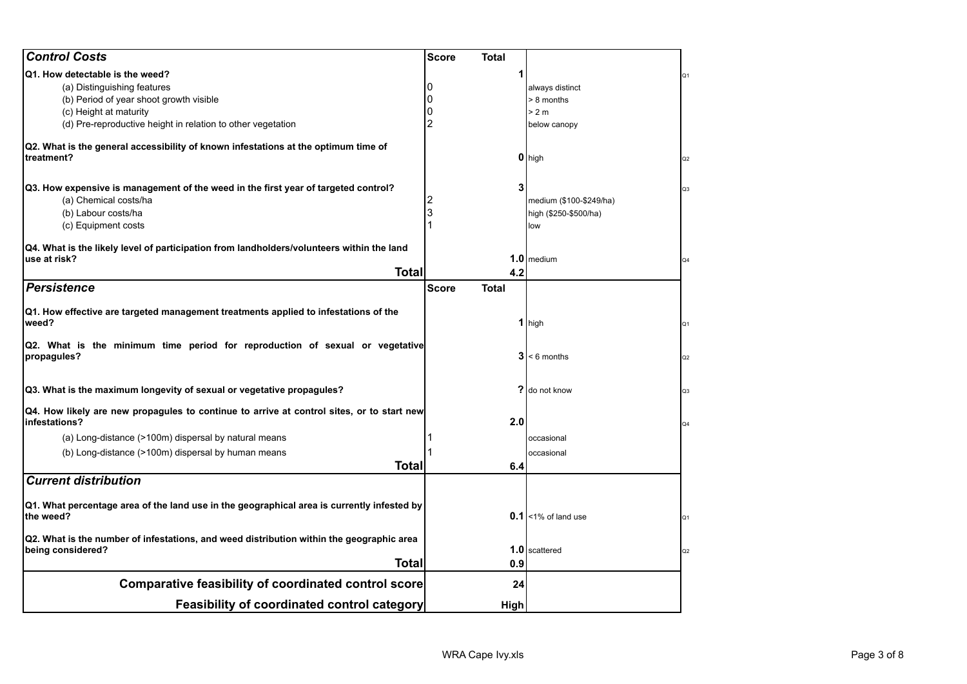| <b>Control Costs</b>                                                                                       | <b>Score</b><br>Total        |                         |                |
|------------------------------------------------------------------------------------------------------------|------------------------------|-------------------------|----------------|
| Q1. How detectable is the weed?                                                                            |                              |                         | Q1             |
| (a) Distinguishing features                                                                                |                              | always distinct         |                |
| (b) Period of year shoot growth visible                                                                    |                              | > 8 months              |                |
| (c) Height at maturity                                                                                     |                              | > 2 m                   |                |
| (d) Pre-reproductive height in relation to other vegetation                                                | 2                            | below canopy            |                |
| Q2. What is the general accessibility of known infestations at the optimum time of<br>treatment?           |                              | 0 high                  | Q2             |
| Q3. How expensive is management of the weed in the first year of targeted control?                         | 3                            |                         | Q3             |
| (a) Chemical costs/ha                                                                                      |                              | medium (\$100-\$249/ha) |                |
| (b) Labour costs/ha                                                                                        | 3                            | high (\$250-\$500/ha)   |                |
| (c) Equipment costs                                                                                        |                              | low                     |                |
| Q4. What is the likely level of participation from landholders/volunteers within the land                  |                              |                         |                |
| use at risk?                                                                                               |                              | $1.0$ medium            | Q4             |
| <b>Total</b>                                                                                               | 4.2                          |                         |                |
| <b>Persistence</b>                                                                                         | <b>Score</b><br><b>Total</b> |                         |                |
| Q1. How effective are targeted management treatments applied to infestations of the<br>weed?               |                              | 1 high                  | Q1             |
| Q2. What is the minimum time period for reproduction of sexual or vegetative<br>propagules?                |                              | $3 < 6$ months          | Q2             |
| Q3. What is the maximum longevity of sexual or vegetative propagules?                                      |                              | ? do not know           | Q <sub>3</sub> |
| Q4. How likely are new propagules to continue to arrive at control sites, or to start new<br>infestations? | 2.0                          |                         | Q4             |
| (a) Long-distance (>100m) dispersal by natural means                                                       |                              | occasional              |                |
| (b) Long-distance (>100m) dispersal by human means                                                         |                              | occasional              |                |
| <b>Total</b>                                                                                               | 6.4                          |                         |                |
| <b>Current distribution</b>                                                                                |                              |                         |                |
| Q1. What percentage area of the land use in the geographical area is currently infested by<br>the weed?    |                              | $0.1$ <1% of land use   | Q1             |
| Q2. What is the number of infestations, and weed distribution within the geographic area                   |                              |                         |                |
| being considered?                                                                                          |                              | 1.0 scattered           | Q2             |
| Total                                                                                                      | 0.9                          |                         |                |
| <b>Comparative feasibility of coordinated control score</b>                                                | 24                           |                         |                |
| <b>Feasibility of coordinated control category</b>                                                         | High                         |                         |                |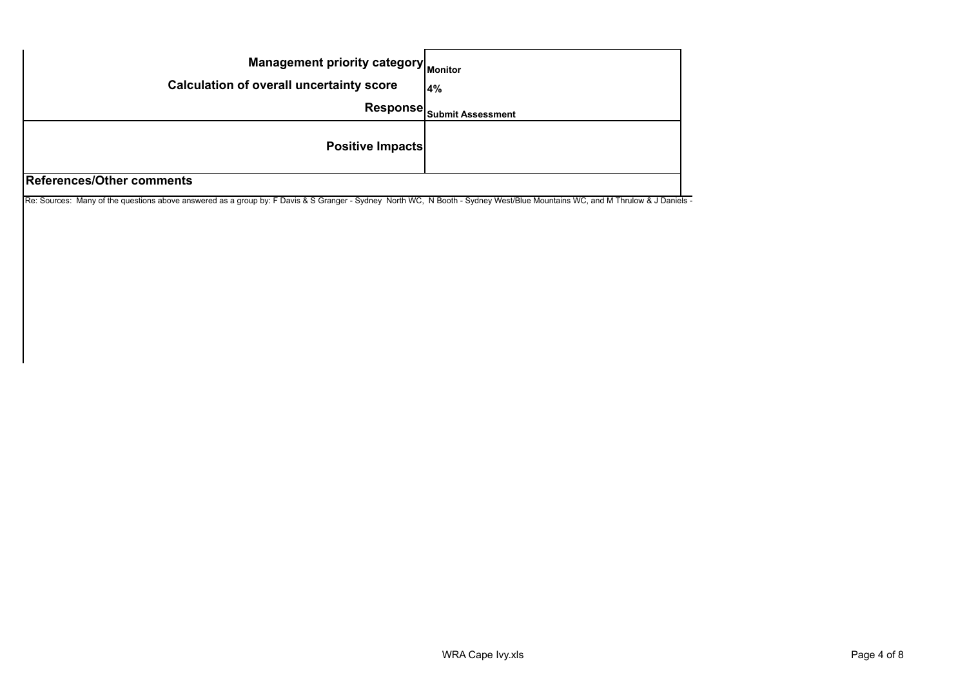| Management priority category Monitor<br><b>Calculation of overall uncertainty score</b> | 4%                                           |  |
|-----------------------------------------------------------------------------------------|----------------------------------------------|--|
|                                                                                         | Response $ _{\mathsf{Submit \, Assessment}}$ |  |
| <b>Positive Impacts</b>                                                                 |                                              |  |
| <b>References/Other comments</b>                                                        |                                              |  |

Re: Sources: Many of the questions above answered as a group by: F Davis & S Granger - Sydney North WC, N Booth - Sydney West/Blue Mountains WC, and M Thrulow & J Daniels -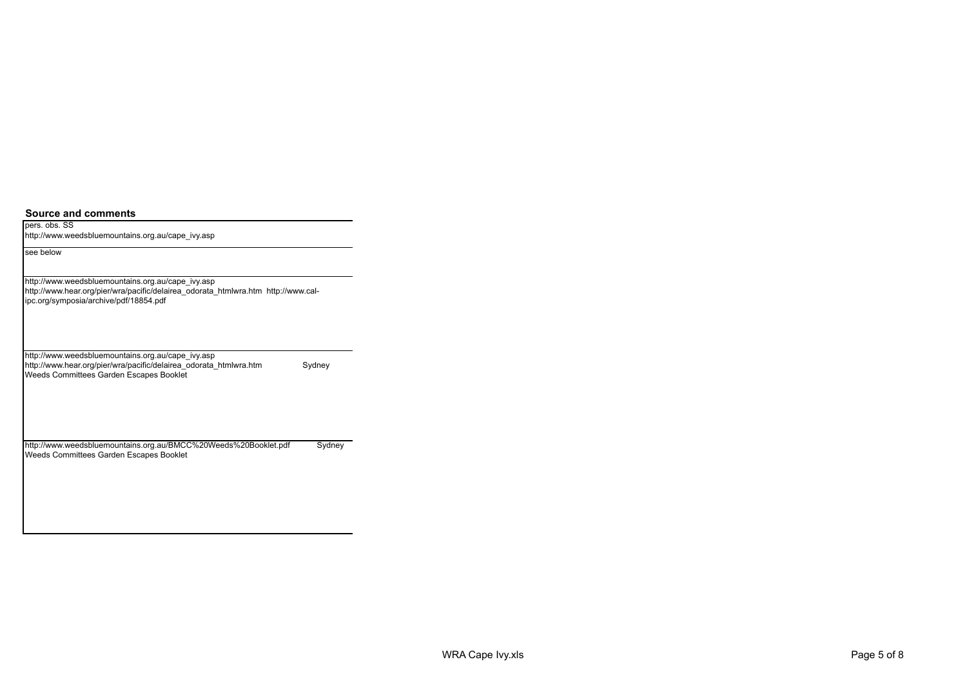**Source and comments**

pers. obs. SS http://www.weedsbluemountains.org.au/cape\_ivy.asp

see below

http://www.weedsbluemountains.org.au/cape\_ivy.asp http://www.hear.org/pier/wra/pacific/delairea\_odorata\_htmlwra.htm http://www.calipc.org/symposia/archive/pdf/18854.pdf

http://www.weedsbluemountains.org.au/cape\_ivy.asp http://www.hear.org/pier/wra/pacific/delairea\_odorata\_htmlwra.htm Sydney Weeds Committees Garden Escapes Booklet

http://www.weedsbluemountains.org.au/BMCC%20Weeds%20Booklet.pdf Sydney Weeds Committees Garden Escapes Booklet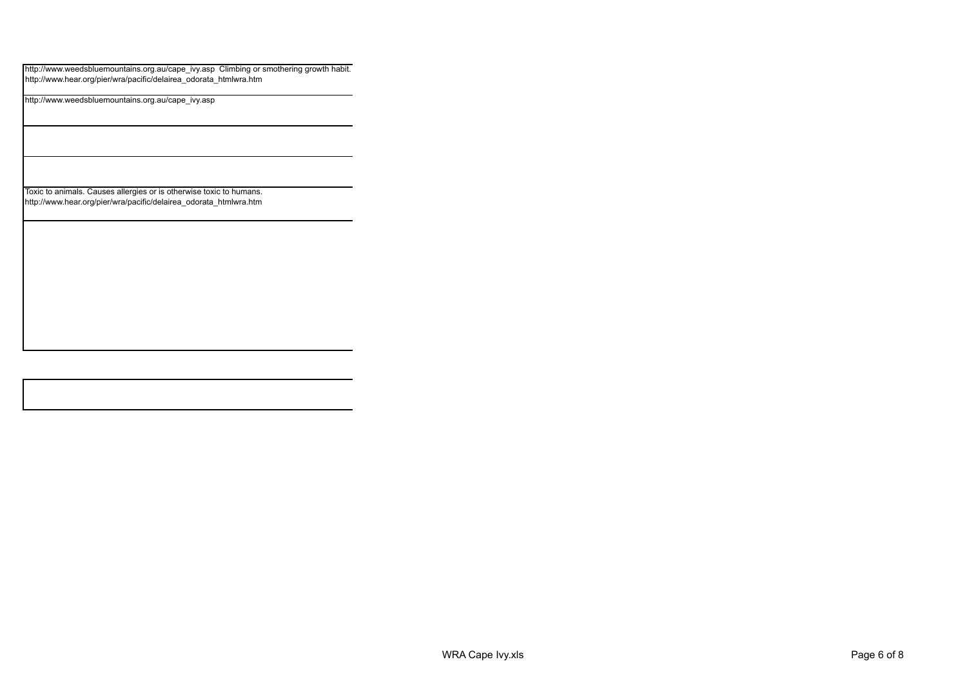http://www.weedsbluemountains.org.au/cape\_ivy.asp Climbing or smothering growth habit. http://www.hear.org/pier/wra/pacific/delairea\_odorata\_htmlwra.htm

http://www.weedsbluemountains.org.au/cape\_ivy.asp

Toxic to animals. Causes allergies or is otherwise toxic to humans. http://www.hear.org/pier/wra/pacific/delairea\_odorata\_htmlwra.htm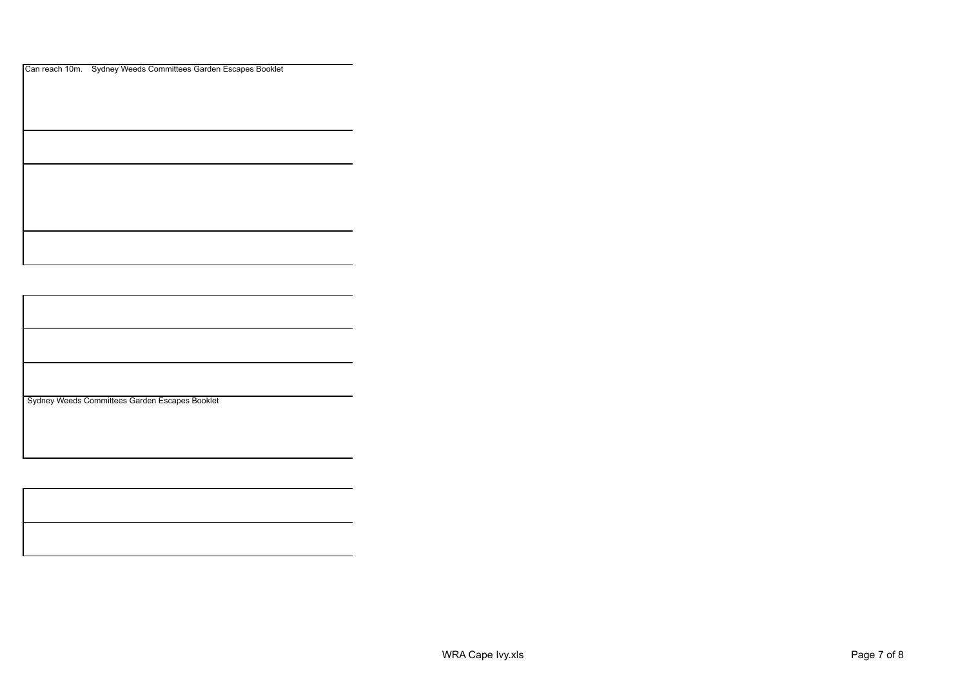Can reach 10m. Sydney Weeds Committees Garden Escapes Booklet

Sydney Weeds Committees Garden Escapes Booklet